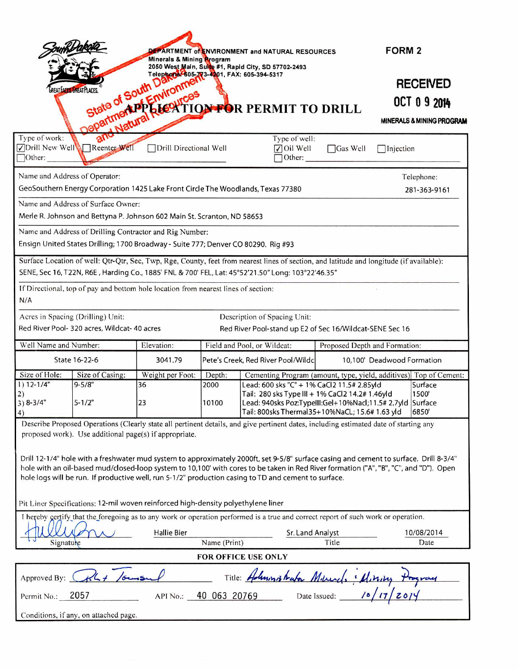|                                                                                                                                                                                                                                                                                                                                            | PARTMENT of ENVIRONMENT and NATURAL RESOURCES<br>Minerals & Mining Program |                              |                         |                                                                                                                                                                                                              |                 | <b>FORM 2</b>                                                                                |
|--------------------------------------------------------------------------------------------------------------------------------------------------------------------------------------------------------------------------------------------------------------------------------------------------------------------------------------------|----------------------------------------------------------------------------|------------------------------|-------------------------|--------------------------------------------------------------------------------------------------------------------------------------------------------------------------------------------------------------|-----------------|----------------------------------------------------------------------------------------------|
|                                                                                                                                                                                                                                                                                                                                            | <b>GREAT FACES. GREAT PLACES</b>                                           |                              |                         | State of South Dampent and FAX: 605-394-5317<br>State of South Dampent<br>Department and Record TTO AFOR PERMIT TO DRILL                                                                                     |                 | <b>RECEIVED</b><br>OCT 0 9 2014<br>MINERALS & MINING PROGRAM                                 |
| Type of work:<br>√Drill New Well<br>$\Box$ Other:                                                                                                                                                                                                                                                                                          | Reenter Well                                                               | Drill Directional Well       |                         | $\sqrt{\frac{1}{1}}$ Oil Well<br>Other:                                                                                                                                                                      | $\Box$ Gas Well | $\Box$ Injection                                                                             |
| Name and Address of Operator:<br>Telephone:<br>GeoSouthern Energy Corporation 1425 Lake Front Circle The Woodlands, Texas 77380<br>281-363-9161<br>Name and Address of Surface Owner:                                                                                                                                                      |                                                                            |                              |                         |                                                                                                                                                                                                              |                 |                                                                                              |
| Merle R. Johnson and Bettyna P. Johnson 602 Main St. Scranton, ND 58653<br>Name and Address of Drilling Contractor and Rig Number:<br>Ensign United States Drilling; 1700 Broadway - Suite 777; Denver CO 80290. Rig #93                                                                                                                   |                                                                            |                              |                         |                                                                                                                                                                                                              |                 |                                                                                              |
| Surface Location of well: Qtr-Qtr, Sec, Twp, Rge, County, feet from nearest lines of section, and latitude and longitude (if available):<br>SENE, Sec 16, T22N, R6E, Harding Co., 1885' FNL & 700' FEL, Lat: 45°52'21.50" Long: 103°22'46.35"<br>If Directional, top of pay and bottom hole location from nearest lines of section:<br>N/A |                                                                            |                              |                         |                                                                                                                                                                                                              |                 |                                                                                              |
| Acres in Spacing (Drilling) Unit:<br>Description of Spacing Unit:<br>Red River Pool- 320 acres, Wildcat- 40 acres<br>Red River Pool-stand up E2 of Sec 16/Wildcat-SENE Sec 16                                                                                                                                                              |                                                                            |                              |                         |                                                                                                                                                                                                              |                 |                                                                                              |
| Well Name and Number:                                                                                                                                                                                                                                                                                                                      |                                                                            | Elevation:                   |                         | Field and Pool, or Wildcat:<br>Proposed Depth and Formation:                                                                                                                                                 |                 |                                                                                              |
| State 16-22-6                                                                                                                                                                                                                                                                                                                              |                                                                            | 3041.79                      |                         | Pete's Creek, Red River Pool/Wildc<br>10,100' Deadwood Formation                                                                                                                                             |                 |                                                                                              |
| Size of Hole:<br>$1) 12 - 1/4"$<br>2)<br>$3) 8 - 3/4"$<br>4)                                                                                                                                                                                                                                                                               | Size of Casing:<br>$9 - 5/8"$<br>$5 - 1/2"$                                | Weight per Foot:<br>36<br>23 | Depth:<br>2000<br>10100 | Lead: 600 sks "C" + 1% CaCl2 11.5# 2.85yld<br>Tail: 280 sks Type III + 1% CaCl2 14.2# 1.46yld<br>Lead: 940sks Poz:TypeIII:Gel+10%Nacl;11.5# 2.7yld Surface<br>Tail: 800sks Thermal35+10%NaCL; 15.6# 1.63 yld |                 | Cementing Program (amount, type, yield, additives) Top of Cement:<br>Surface<br>1500<br>6850 |
| Describe Proposed Operations (Clearly state all pertinent details, and give pertinent dates, including estimated date of starting any<br>proposed work). Use additional page(s) if appropriate.<br>Drill 12-1/4" hole with a freshwater mud system to approximately 2000ft, set 9-5/8" surface casing and cement to surface. Drill 8-3/4"  |                                                                            |                              |                         |                                                                                                                                                                                                              |                 |                                                                                              |
| hole with an oil-based mud/closed-loop system to 10,100' with cores to be taken in Red River formation ("A", "B", "C", and "D"). Open<br>hole logs will be run. If productive well, run 5-1/2" production casing to TD and cement to surface.<br>Pit Liner Specifications: 12-mil woven reinforced high-density polyethylene liner         |                                                                            |                              |                         |                                                                                                                                                                                                              |                 |                                                                                              |
| I hereby certify that the foregoing as to any work or operation performed is a true and correct report of such work or operation.<br><b>Hallie Bier</b><br>Sr. Land Analyst<br>10/08/2014<br>Name (Print)<br>Title<br>Date<br>Signature                                                                                                    |                                                                            |                              |                         |                                                                                                                                                                                                              |                 |                                                                                              |
| <b>FOR OFFICE USE ONLY</b>                                                                                                                                                                                                                                                                                                                 |                                                                            |                              |                         |                                                                                                                                                                                                              |                 |                                                                                              |
| $k\overline{k}$ / $\sigma$<br>Title: Holmonishafor Miller<br>· Hiring<br>Approved By:                                                                                                                                                                                                                                                      |                                                                            |                              |                         |                                                                                                                                                                                                              |                 |                                                                                              |
| Date Issued:<br>40 063 20769<br>2057<br>Permit No.:<br>API No.:                                                                                                                                                                                                                                                                            |                                                                            |                              |                         |                                                                                                                                                                                                              |                 |                                                                                              |
| Conditions, if any, on attached page.                                                                                                                                                                                                                                                                                                      |                                                                            |                              |                         |                                                                                                                                                                                                              |                 |                                                                                              |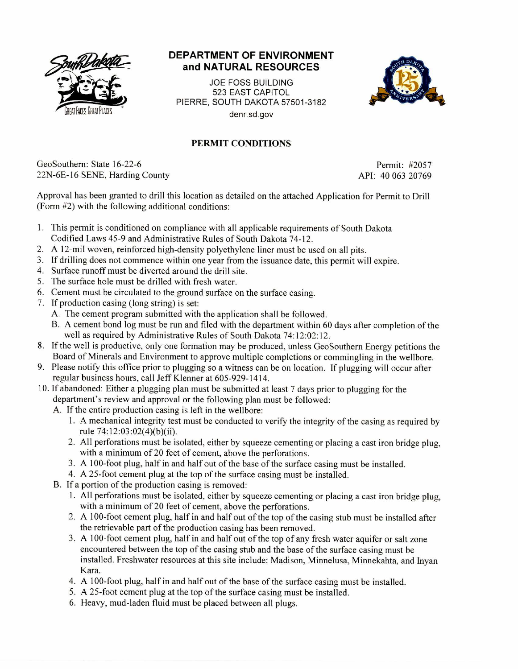

## **DEPARTMENT OF ENVIRONMENT and NATURAL RESOURCES**

JOE FOSS BUILDING 523 EAST CAPITOL PIERRE, SOUTH DAKOTA 57501-3182 denr.sd.gov



## PERMIT CONDITIONS

GeoSouthern: State 16-22-6 Permit: #2057 22N-6E-16 SENE, Harding County API: 40 063 20769

Approval has been granted to drill this location as detailed on the attached Application for Permit to Drill (Form #2) with the following additional conditions:

- 1. This permit is conditioned on compliance with all applicable requirements of South Dakota Codified Laws 45-9 and Administrative Rules of South Dakota 74-12.
- 2. A 12-mil woven, reinforced high-density polyethylene liner must be used on all pits.
- 3. If drilling does not commence within one year from the issuance date, this permit will expire.
- 4. Surface runoff must be diverted around the drill site.
- 5. The surface hole must be drilled with fresh water.
- 6. Cement must be circulated to the ground surface on the surface casing.
- 7. If production casing (long string) is set:
	- A. The cement program submitted with the application shall be followed.
	- B. A cement bond log must be run and filed with the department within 60 days after completion of the well as required by Administrative Rules of South Dakota 74:12:02:12.
- 8. If the well is productive, only one formation may be produced, unless GeoSouthern Energy petitions the Board of Minerals and Environment to approve multiple completions or commingling in the wellbore.
- 9. Please notify this office prior to plugging so a witness can be on location. If plugging will occur after regular business hours, call Jeff Klenner at 605-929-1414.
- 10. If abandoned: Either a plugging plan must be submitted at least 7 days prior to plugging for the department's review and approval or the following plan must be followed:
	- A. If the entire production casing is left in the wellbore:
		- 1. A mechanical integrity test must be conducted to verify the integrity of the casing as required by rule 74:12:03 :02(4)(b)(ii).
		- 2. All perforations must be isolated, either by squeeze cementing or placing a cast iron bridge plug, with a minimum of 20 feet of cement, above the perforations.
		- 3. A 100-foot plug, half in and half out of the base of the surface casing must be installed.
		- 4. A 25-foot cement plug at the top of the surface casing must be installed.
	- B. If a portion of the production casing is removed:
		- 1. All perforations must be isolated, either by squeeze cementing or placing a cast iron bridge plug, with a minimum of 20 feet of cement, above the perforations.
		- 2. A 100-foot cement plug, half in and half out of the top of the casing stub must be installed after the retrievable part of the production casing has been removed.
		- 3. A 100-foot cement plug, half in and half out of the top of any fresh water aquifer or salt zone encountered between the top of the casing stub and the base of the surface casing must be installed. Freshwater resources at this site include: Madison, Minnelusa, Minnekahta, and Inyan Kara.
		- 4. A 100-foot plug, half in and half out of the base of the surface casing must be installed.
		- 5. A 25-foot cement plug at the top of the surface casing must be installed.
		- 6. Heavy, mud-laden fluid must be placed between all plugs.